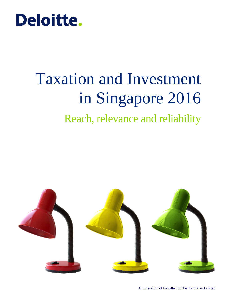# **Deloitte.**

# Taxation and Investment in Singapore 2016

# Reach, relevance and reliability

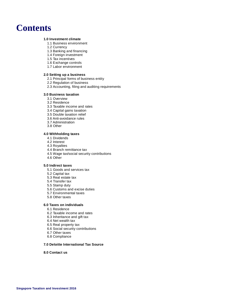### **Contents**

#### **[1.0 Investment climate](#page-2-0)**

- [1.1 Business environment](#page-2-1)
- [1.2 Currency](#page-2-2)
- [1.3 Banking and financing](#page-2-3)
- [1.4 Foreign investment](#page-2-4)
- [1.5 Tax incentives](#page-3-0)
- [1.6 Exchange controls](#page-4-0)
- 1.7 [Labor environment](#page-4-1)

#### **[2.0 Setting up a business](#page-5-0)**

- [2.1 Principal forms of business entity](#page-5-1)
- [2.2 Regulation of business](#page-7-0)
- [2.3 Accounting, filing and auditing requirements](#page-7-1)

#### **[3.0 Business taxation](#page-9-0)**

- [3.1 Overview](#page-9-1)
- [3.2 Residence](#page-10-0)
- [3.3 Taxable income and](#page-10-1) rates
- [3.4 Capital gains taxation](#page-13-0)
- [3.5 Double taxation relief](#page-13-1)
- [3.6 Anti-avoidance rules](#page-14-0)
- [3.7 Administration](#page-16-0)
- [3.8 Other](#page-17-0)

#### **[4.0 Withholding taxes](#page-18-0)**

- [4.1 Dividends](#page-18-1)
- [4.2 Interest](#page-18-2)
- [4.3 Royalties](#page-18-3)
- [4.4 Branch remittance tax](#page-18-4)
- [4.5 Wage tax/social security contributions](#page-18-5)
- [4.6 Other](#page-18-6)

#### **[5.0 Indirect taxes](#page-20-0)**

- [5.1 Goods and services tax](#page-20-1)
- [5.2 Capital tax](#page-20-2)
- [5.3 Real estate tax](#page-20-3)
- [5.4 Transfer tax](#page-20-4)
- [5.5 Stamp duty](#page-20-5)
- [5.6 Customs and excise duties](#page-21-0)
- [5.7 Environmental taxes](#page-21-1)
- [5.8 Other taxes](#page-21-2)

#### **[6.0 Taxes on individuals](#page-22-0)**

- [6.1 Residence](#page-22-1)
- [6.2 Taxable income and rates](#page-23-0)
- [6.3 Inheritance and gift tax](#page-24-0)
- [6.4 Net wealth tax](#page-24-1)
- [6.5 Real property tax](#page-24-2)
- [6.6 Social security contributions](#page-24-3)
- [6.7 Other taxes](#page-24-4)
- [6.8 Compliance](#page-24-5)

#### **[7.0 Deloitte International Tax Source](#page-25-0)**

#### **[8.0 Contact us](#page-26-0)**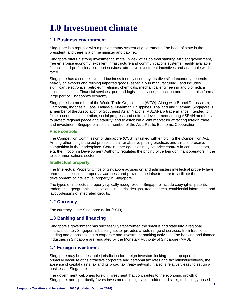# <span id="page-2-0"></span>**1.0 Investment climate**

#### <span id="page-2-1"></span>**1.1 Business environment**

Singapore is a republic with a parliamentary system of government. The head of state is the president, and there is a prime minister and cabinet.

Singapore offers a strong investment climate, in view of its political stability, efficient government, free enterprise economy, excellent infrastructure and communications systems, readily available financial and professional support services, attractive investment incentives and adaptable work force.

Singapore has a competitive and business-friendly economy. Its diversified economy depends heavily on exports and refining imported goods (especially in manufacturing), and includes significant electronics, petroleum refining, chemicals, mechanical engineering and biomedical sciences sectors. Financial services, port and logistics services, education and tourism also form a large part of Singapore's economy.

Singapore is a member of the World Trade Organization (WTO). Along with Brunei Darussalam, Cambodia, Indonesia, Laos, Malaysia, Myanmar, Philippines, Thailand and Vietnam, Singapore is a member of the Association of Southeast Asian Nations (ASEAN), a trade alliance intended to foster economic cooperation, social progress and cultural development among ASEAN members; to protect regional peace and stability; and to establish a joint market for attracting foreign trade and investment. Singapore also is a member of the Asia-Pacific Economic Cooperation.

#### **Price controls**

The Competition Commission of Singapore (CCS) is tasked with enforcing the Competition Act. Among other things, the act prohibits unfair or abusive pricing practices and aims to preserve competition in the marketplace. Certain other agencies may set price controls in certain sectors, e.g. the Infocomm Development Authority regulates the pricing of certain dominant operators in the telecommunications sector.

#### **Intellectual property**

The Intellectual Property Office of Singapore advises on and administers intellectual property laws, promotes intellectual property awareness and provides the infrastructure to facilitate the development of intellectual property in Singapore.

The types of intellectual property typically recognized in Singapore include copyrights, patents, trademarks, geographical indications, industrial designs, trade secrets, confidential information and layout-designs of integrated circuits.

#### <span id="page-2-2"></span>**1.2 Currency**

The currency is the Singapore dollar (SGD).

#### <span id="page-2-3"></span>**1.3 Banking and financing**

Singapore's government has successfully transformed the small island state into a regional financial center. Singapore's banking sector provides a wide range of services, from traditional lending and deposit taking to corporate and investment banking activities. The banking and finance industries in Singapore are regulated by the Monetary Authority of Singapore (MAS).

#### <span id="page-2-4"></span>**1.4 Foreign investment**

Singapore may be a desirable jurisdiction for foreign investors looking to set up operations, primarily because of its attractive corporate and personal tax rates and tax reliefs/incentives, the absence of capital gains tax and its broad tax treaty network. It also is relatively easy to set up a business in Singapore.

The government welcomes foreign investment that contributes to the economic growth of Singapore, and specifically favors investments in high value-added and skills, technology-based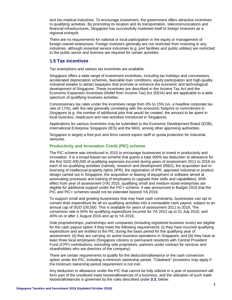and bio-medical industries. To encourage investment, the government offers attractive incentives to qualifying activities. By promoting its location and its transportation, telecommunications and financial infrastructures, Singapore has successfully marketed itself to foreign investors as a regional *entrepôt*.

There are no requirements for national or local participation in the equity or management of foreign-owned enterprises. Foreign investors generally are not restricted from investing in any industries, although essential service industries (e.g. port facilities and public utilities) are restricted to the public sector and licenses are required for certain activities.

#### <span id="page-3-0"></span>**1.5 Tax incentives**

Tax exemptions and various tax incentives are available.

Singapore offers a wide range of investment incentives, including tax holidays and concessions, accelerated depreciation schemes, favorable loan conditions, equity participation and high-quality industrial estates to attract taxpayers that promote or enhance the economic and technological development of Singapore. These incentives are described in the Income Tax Act and the Economic Expansion Incentives (Relief from Income Tax) Act (EEIA) and are applicable to a wide spectrum of qualifying business activities.

Concessionary tax rates under the incentives range from 0% to 15% (vs. a headline corporate tax rate of 17%), with the rate generally correlating with the economic footprint or commitment in Singapore (e.g. the number of additional jobs that would be created, the amount to be spent in local business, headcount and new activities introduced in Singapore).

Applications for various incentives may be submitted to the Economic Development Board (EDB), International Enterprise Singapore (IES) and the MAS, among other approving authorities.

Singapore is largely a free port and firms cannot expect tariff or quota protection for industrial ventures.

#### **Productivity and Innovation Credit (PIC) scheme**

The PIC scheme was introduced in 2010 to encourage businesses to invest in productivity and innovation. It is a broad-based tax scheme that grants a total 400% tax deduction or allowance for the first SGD 400,000 of qualifying expenses incurred during years of assessment 2011 to 2018 on each of six qualifying activities (namely, research and development (R&D), the acquisition and inlicensing of intellectual property rights (IPR), the registration of IPR, approved industrial or product design carried out in Singapore, the acquisition or leasing of equipment or software aimed at automating processes and training of employees to upgrade their skills and capabilities). With effect from year of assessment (YA) 2015, qualifying small and medium-sized enterprises are eligible for additional support under the PIC+ scheme. It was announced in Budget 2016 that the PIC and PIC+ schemes would not be extended beyond YA 2018.

To support small and growing businesses that may have cash constraints, businesses can opt to convert their expenditure for all six qualifying activities into a nontaxable cash payout, subject to an annual cap of SGD 100,000. This is available for years of assessment 2011 to 2018. The conversion rate is 60% for qualifying expenditure incurred for YA 2013 up to 31 July 2016, and 40% on or after 1 August 2016 and up to YA 2018.

Sole proprietorships, partnerships and companies (including registered business trusts) are eligible for the cash payout option if they meet the following requirements: (i) they have incurred qualifying expenditure and are entitled to the PIC during the basis period for the qualifying year of assessment; (ii) they are carrying on active business operations in Singapore; and (iii) they have at least three local employees (Singapore citizens or permanent residents with Central Provident Fund (CPF) contributions, excluding sole proprietors, partners under contract for services and shareholders who are directors of the company).

There are certain requirements to qualify for the deduction/allowance or the cash conversion option under the PIC, including a minimum ownership period. "Clawback" provisions may apply if the minimum ownership period requirement is not met.

Any deduction or allowance under the PIC that cannot be fully utilized in a year of assessment will form part of the unutilized trade losses/allowances of a business, and the utilization of such trade losses/allowances is governed by the rules described under **[3.3](#page-10-1)**, below.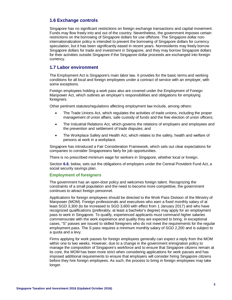#### <span id="page-4-0"></span>**1.6 Exchange controls**

Singapore has no significant restrictions on foreign exchange transactions and capital movement. Funds may flow freely into and out of the country. Nevertheless, the government imposes certain restrictions on the borrowing of Singapore dollars for use offshore. The Singapore dollar noninternationalization policy is intended to prevent the borrowing of Singapore dollars for currency speculation, but it has been significantly eased in recent years. Nonresidents may freely borrow Singapore dollars for trade and investment in Singapore, and they may borrow Singapore dollars for their activities outside Singapore if the Singapore dollar proceeds are exchanged into foreign currency.

#### <span id="page-4-1"></span>**1.7 Labor environment**

The Employment Act is Singapore's main labor law. It provides for the basic terms and working conditions for all local and foreign employees under a contract of service with an employer, with some exceptions.

Foreign employees holding a work pass also are covered under the Employment of Foreign Manpower Act, which outlines an employer's responsibilities and obligations for employing foreigners.

Other pertinent statutes/regulations affecting employment law include, among others:

- The Trade Unions Act, which regulates the activities of trade unions, including the proper management of union affairs, safe custody of funds and the free election of union officers;
- The Industrial Relations Act, which governs the relations of employers and employees and the prevention and settlement of trade disputes; and
- The Workplace Safety and Health Act, which relates to the safety, health and welfare of persons at work in a workplace.

Singapore has introduced a Fair Consideration Framework, which sets out clear expectations for companies to consider Singaporeans fairly for job opportunities.

There is no prescribed minimum wage for workers in Singapore, whether local or foreign.

Section **[6.6](#page-24-3)**, below, sets out the obligations of employers under the Central Provident Fund Act, a social security savings plan.

#### **Employment of foreigners**

The government has an open-door policy and welcomes foreign talent. Recognizing the constraints of a small population and the need to become more competitive, the government continues to attract foreign personnel.

Applications for foreign employees should be directed to the Work Pass Division of the Ministry of Manpower (MOM). Foreign professionals and executives who earn a fixed monthly salary of at least SGD 3,300 (to be increased to SGD 3,600 with effect from 1 January 2017) and who have recognized qualifications (preferably, at least a bachelor's degree) may apply for an employment pass to work in Singapore. To qualify, experienced applicants must command higher salaries commensurate with the work experience and quality they are expected to bring. In exceptional cases, "S" passes are issued to skilled foreigners who do not meet the requirements for the regular employment pass. The S pass requires a minimum monthly salary of SGD 2,200 and is subject to a quota and a levy.

Firms applying for work passes for foreign employees generally can expect a reply from the MOM within one to two weeks. However, due to a change in the government immigration policy to manage the composition of Singapore's workforce and to ensure that Singapore citizens remain at its core, the MOM has been more strict when considering applications for work passes and has imposed additional requirements to ensure that employers will consider hiring Singapore citizens before they hire foreign employees. As such, the process to bring in foreign employees may take longer.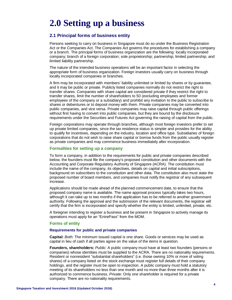# <span id="page-5-0"></span>**2.0 Setting up a business**

#### <span id="page-5-1"></span>**2.1 Principal forms of business entity**

Persons seeking to carry on business in Singapore must do so under the Business Registration Act or the Companies Act. The Companies Act governs the procedures for establishing a company or a branch. The principal forms of business organization are the following: locally incorporated company; branch of a foreign corporation; sole proprietorship; partnership; limited partnership; and limited liability partnership.

The nature of the intended business operations will be an important factor in selecting the appropriate form of business organization. Foreign investors usually carry on business through locally incorporated companies or branches.

A firm may be incorporated with members' liability unlimited or limited by shares or by guarantee, and it may be public or private. Publicly listed companies normally do not restrict the right to transfer shares. Companies with share capital are considered private if they restrict the right to transfer shares, limit the number of shareholders to 50 (excluding employees and former employees of the company or a subsidiary) and prohibit any invitation to the public to subscribe to shares or debentures or to deposit money with them. Private companies may be converted into public companies, and vice versa. Private companies may raise capital through public offerings without first having to convert into public companies, but they are bound by the disclosure requirements under the Securities and Futures Act governing the raising of capital from the public.

Foreign corporations may operate through branches, although most foreign investors prefer to set up private limited companies, since the tax residence status is simpler and provides for the ability to qualify for incentives, depending on the industry, location and office type. Subsidiaries of foreign corporations that do not wish to raise share capital or borrow funds from the public usually register as private companies and may commence business immediately after incorporation.

#### **Formalities for setting up a company**

To form a company, in addition to the requirements for public and private companies described below, the founders must file the company's proposed constitution and other documents with the Accounting and Corporate Regulatory Authority of Singapore (ACRA). The constitution must include the name of the company, its objectives, details on capital and initial subscriptions, background on subscribers to the constitution and other data. The constitution also must state the proposed number of board members, and companies must notify the registrar of any subsequent increase.

Applications should be made ahead of the planned commencement date, to ensure that the proposed company name is available. The name approval process typically takes two hours, although it can take up to two months if the application has to be referred to another government authority. Following the approval and the submission of the relevant documents, the registrar will certify that the firm is incorporated and specify whether the entity is limited, unlimited, private, etc.

A foreigner intending to register a business and be present in Singapore to actively manage its operations must apply for an "EntrePass" from the MOM.

#### **Forms of entity**

#### **Requirements for public and private companies**

**Capital:** *Both:* The minimum issued capital is one share. Goods or services may be used as capital in lieu of cash if all parties agree on the value of the items in question.

**Founders, shareholders:** *Public:* A public company must have at least two founders (persons or companies) whose identities must be supplied to the ACRA. There are no nationality requirements. Resident or nonresident "substantial shareholders" (i.e. those owning 10% or more of voting shares) of a company listed on the stock exchange must register full details of their company holdings, and the register must be open to inspection. A public company must hold a statutory meeting of its shareholders no less than one month and no more than three months after it is authorized to commence business. *Private:* Only one shareholder is required for a private company. There are no nationality requirements.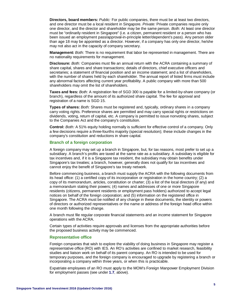**Directors, board members:** *Public:* For public companies, there must be at least two directors, and one director must be a local resident in Singapore. *Private:* Private companies require only one director, and the director and shareholder may be the same person. *Both:* At least one director must be "ordinarily resident in Singapore" (i.e. a citizen, permanent resident or a person who has been issued an employment pass/approval-in-principle letter/dependent's pass). Any person older than age 18 may be appointed as a director. However, if a company has only one director, he/she may not also act in the capacity of company secretary.

**Management:** *Both:* There is no requirement that labor be represented in management. There are no nationality requirements for management.

**Disclosure:** *Both:* Companies must file an annual return with the ACRA containing a summary of share capital, shares and share transactions; details of directors, chief executive officers and secretaries; a statement of financial position and an income statement; and a list of shareholders, with the number of shares held by each shareholder. The annual report of listed firms must include any abnormal factors affecting current year profitability. A public company with more than 500 shareholders may omit the list of shareholders.

**Taxes and fees:** *Both:* A registration fee of SGD 300 is payable for a limited-by-share company (or branch), regardless of the amount of its authorized share capital. The fee for approval and registration of a name is SGD 15.

**Types of shares:** *Both:* Shares must be registered and, typically, ordinary shares in a company carry voting rights. Preference shares are permitted and may carry special rights or restrictions on dividends, voting, return of capital, etc. A company is permitted to issue nonvoting shares, subject to the Companies Act and the company's constitution.

**Control:** *Both:* A 51% equity holding normally is sufficient for effective control of a company. Only a few decisions require a three-fourths majority (special resolution); these include changes in the company's constitution and reductions in share capital.

#### **Branch of a foreign corporation**

A foreign company may set up a branch in Singapore, but, for tax reasons, most prefer to set up a subsidiary. A branch's profits are taxed at the same rate as a subsidiary. A subsidiary is eligible for tax incentives and, if it is a Singapore tax resident, the subsidiary may obtain benefits under Singapore's tax treaties; a branch, however, generally does not qualify for tax incentives and cannot enjoy the benefit of Singapore's tax treaty network.

Before commencing business, a branch must supply the ACRA with the following documents from its head office: (1) a certified copy of its incorporation or registration in the home country; (2) a copy of its memorandum, articles, constitution or charter; (3) a list of the local directors (if any) and a memorandum stating their powers; (4) names and addresses of one or more Singapore residents (citizens, permanent residents or employment pass holders) authorized to accept legal notices on behalf of the foreign corporation; and (5) information on the registered office in Singapore. The ACRA must be notified of any change in these documents, the identity or powers of directors or authorized representatives or the name or address of the foreign head office within one month following the change.

A branch must file regular corporate financial statements and an income statement for Singapore operations with the ACRA.

Certain types of activities require approvals and licenses from the appropriate authorities before the proposed business activity may be commenced.

#### **Representative office**

Foreign companies that wish to explore the viability of doing business in Singapore may register a representative office (RO) with IES. An RO's activities are confined to market research, feasibility studies and liaison work on behalf of its parent company. An RO is intended to be used for temporary purposes, and the foreign company is encouraged to upgrade by registering a branch or incorporating a company within three years, or when this is practicable.

Expatriate employees of an RO must apply to the MOM's Foreign Manpower Employment Division for employment passes (see under **[1.7](#page-4-1)**, above).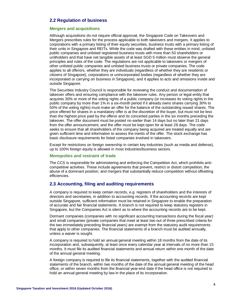#### <span id="page-7-0"></span>**2.2 Regulation of business**

#### **Mergers and acquisitions**

Although acquisitions do not require official approval, the Singapore Code on Takeovers and Mergers prescribes rules for the process applicable to both takeovers and mergers. It applies to corporations with a primary listing of their equity securities, business trusts with a primary listing of their units in Singapore and REITs. While the code was drafted with these entities in mind, unlisted public companies and unlisted registered business trusts with more than 50 shareholders or unitholders and that have net tangible assets of at least SGD 5 million must observe the general principles and rules of the code. The regulations are not applicable to takeovers or mergers of other unlisted public companies and unlisted business trusts or private companies. The code applies to all offerors, whether they are individuals (regardless of whether they are residents or citizens of Singapore), corporations or unincorporated bodies (regardless of whether they are incorporated or carrying on business in Singapore), and it applies to acts and omissions inside and outside Singapore.

The Securities Industry Council is responsible for reviewing the conduct and documentation of takeover offers and ensuring compliance with the takeover rules. Any person or legal entity that acquires 30% or more of the voting rights of a public company (or increases its voting rights in the public company by more than 1% in a six-month period if it already owns shares carrying 30% to 50% of the voting rights) must make an offer for the balance of the outstanding issued shares. The price offered for shares in a mandatory offer is at the discretion of the buyer, but must not be less than the highest price paid by the offeror and its concerted parties in the six months preceding the takeover. The offer document must be posted no earlier than 14 days but no later than 21 days from the offer announcement, and the offer must be kept open for at least 28 days. The code seeks to ensure that all shareholders of the company being acquired are treated equally and are given sufficient time and information to assess the merits of the offer. The stock exchange has basic disclosure requirements for listed companies involved in takeovers.

Except for restrictions on foreign ownership in certain key industries (such as media and defense), up to 100% foreign equity is allowed in most industries/business sectors.

#### **Monopolies and restraint of trade**

The CCS is responsible for administering and enforcing the Competition Act, which prohibits anticompetitive activities. These include agreements that prevent, restrict or distort competition; the abuse of a dominant position; and mergers that substantially reduce competition without offsetting efficiencies.

#### <span id="page-7-1"></span>**2.3 Accounting, filing and auditing requirements**

A company is required to keep certain records, e.g. registers of shareholders and the interests of directors and secretaries, in addition to accounting records. If the accounting records are kept outside Singapore, sufficient information must be retained in Singapore to enable the preparation of accurate and fair financial statements. A branch is not required to keep statutory registers in Singapore, but the Companies Act is silent as to where the accounting records are to be kept.

Dormant companies (companies with no significant accounting transactions during the fiscal year) and small companies (private companies that meet at least two out of three prescribed criteria for the two immediately preceding financial years) are exempt from the statutory audit requirements that apply to other companies. The financial statements of a branch must be audited annually, unless a waiver is sought.

A company is required to hold an annual general meeting within 18 months from the date of its incorporation and, subsequently, at least once every calendar year at intervals of no more than 15 months. It must file its audited financial statements and annual return within one month of the date of the annual general meeting.

A foreign company is required to file its financial statements, together with the audited financial statements of the branch, within two months of the date of the annual general meeting of the head office, or within seven months from the financial year-end date if the head office is not required to hold an annual general meeting by law in the place of its incorporation.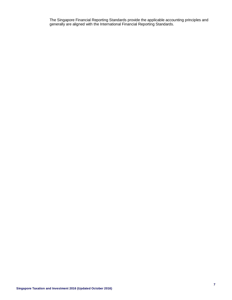The Singapore Financial Reporting Standards provide the applicable accounting principles and generally are aligned with the International Financial Reporting Standards.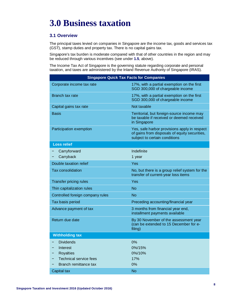# <span id="page-9-0"></span>**3.0 Business taxation**

#### <span id="page-9-1"></span>**3.1 Overview**

The principal taxes levied on companies in Singapore are the income tax, goods and services tax (GST), stamp duties and property tax. There is no capital gains tax.

Singapore's tax burden is moderate compared with that of other countries in the region and may be reduced through various incentives (see under **[1.5](#page-3-0)**, above).

The Income Tax Act of Singapore is the governing statute regarding corporate and personal taxation, and taxes are administered by the Inland Revenue Authority of Singapore (IRAS).

| <b>Singapore Quick Tax Facts for Companies</b>                                    |                                                                                                                                |  |
|-----------------------------------------------------------------------------------|--------------------------------------------------------------------------------------------------------------------------------|--|
| Corporate income tax rate                                                         | 17%, with a partial exemption on the first<br>SGD 300,000 of chargeable income                                                 |  |
| Branch tax rate                                                                   | 17%, with a partial exemption on the first<br>SGD 300,000 of chargeable income                                                 |  |
| Capital gains tax rate                                                            | Not taxable                                                                                                                    |  |
| <b>Basis</b>                                                                      | Territorial, but foreign-source income may<br>be taxable if received or deemed received<br>in Singapore                        |  |
| Participation exemption                                                           | Yes, safe harbor provisions apply in respect<br>of gains from disposals of equity securities,<br>subject to certain conditions |  |
| <b>Loss relief</b>                                                                |                                                                                                                                |  |
| Carryforward                                                                      | Indefinite                                                                                                                     |  |
| Carryback                                                                         | 1 year                                                                                                                         |  |
| Double taxation relief                                                            | Yes                                                                                                                            |  |
| <b>Tax consolidation</b>                                                          | No, but there is a group relief system for the<br>transfer of current-year loss items                                          |  |
| <b>Transfer pricing rules</b>                                                     | Yes                                                                                                                            |  |
| Thin capitalization rules                                                         | <b>No</b>                                                                                                                      |  |
| Controlled foreign company rules                                                  | <b>No</b>                                                                                                                      |  |
| Tax basis period                                                                  | Preceding accounting/financial year                                                                                            |  |
| Advance payment of tax                                                            | 3 months from financial year end,<br>installment payments available                                                            |  |
| Return due date                                                                   | By 30 November of the assessment year<br>(can be extended to 15 December for e-<br>filing)                                     |  |
| <b>Withholding tax</b>                                                            |                                                                                                                                |  |
| <b>Dividends</b><br>Interest<br><b>Royalties</b><br><b>Technical service fees</b> | 0%<br>0%/15%<br>0%/10%<br>17%                                                                                                  |  |
| Branch remittance tax                                                             | 0%                                                                                                                             |  |
| Capital tax                                                                       | <b>No</b>                                                                                                                      |  |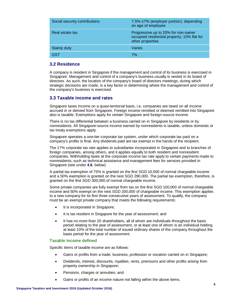| Social security contributions | 7.5%-17% (employer portion), depending<br>on age of employee                                           |
|-------------------------------|--------------------------------------------------------------------------------------------------------|
| Real estate tax               | Progressive up to 20% for non-owner<br>occupied residential property; 10% flat for<br>other properties |
| Stamp duty                    | Varies                                                                                                 |
| GST                           | 7%                                                                                                     |
|                               |                                                                                                        |

#### <span id="page-10-0"></span>**3.2 Residence**

A company is resident in Singapore if the management and control of its business is exercised in Singapore. Management and control of a company's business usually is vested in its board of directors. As such, the location of the company's board of directors meetings, during which strategic decisions are made, is a key factor in determining where the management and control of the company's business is exercised.

#### <span id="page-10-1"></span>**3.3 Taxable income and rates**

Singapore taxes income on a quasi-territorial basis, i.e. companies are taxed on all income accrued in or derived from Singapore. Foreign income remitted or deemed remitted into Singapore also is taxable. Exemptions apply for certain Singapore and foreign-source income.

There is no tax differential between a business carried on in Singapore by residents or by nonresidents. All Singapore-source income earned by nonresidents is taxable, unless domestic or tax treaty exemptions apply.

Singapore operates a one-tier corporate tax system, under which corporate tax paid on a company's profits is final. Any dividends paid are tax exempt in the hands of the recipient.

The 17% corporate tax rate applies to subsidiaries incorporated in Singapore and to branches of foreign companies, among others, and it applies equally to both resident and nonresident companies. Withholding taxes at the corporate income tax rate apply to certain payments made to nonresidents, such as technical assistance and management fees for services provided in Singapore (see under **[4.6](#page-18-6)**, below).

A partial tax exemption of 75% is granted on the first SGD 10,000 of normal chargeable income and a 50% exemption is granted on the next SGD 290,000. The partial tax exemption, therefore, is granted on the first SGD 300,000 of normal chargeable income.

Some private companies are fully exempt from tax on the first SGD 100,000 of normal chargeable income and 50% exempt on the next SGD 200,000 of chargeable income. This exemption applies to a new company for its first three consecutive years of assessment. To qualify, the company must be an exempt private company that meets the following requirements:

- It is incorporated in Singapore;
- It is tax resident in Singapore for the year of assessment; and
- It has no more than 20 shareholders, all of whom are individuals throughout the basis period relating to the year of assessment, or at least one of whom is an individual holding at least 10% of the total number of issued ordinary shares of the company throughout the basis period for the year of assessment.

#### **Taxable income defined**

Specific items of taxable income are as follows:

- Gains or profits from a trade, business, profession or vocation carried on in Singapore;
- Dividends, interest, discounts, royalties, rents, premiums and other profits arising from property ownership in Singapore;
- Pensions, charges or annuities; and
- Gains or profits of an income nature not falling within the above items.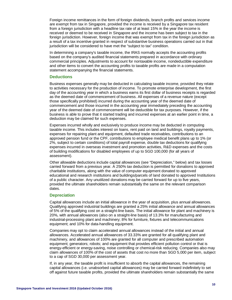Foreign income remittances in the form of foreign dividends, branch profits and services income are exempt from tax in Singapore, provided the income is received by a Singapore tax resident from a foreign jurisdiction with a headline tax rate of at least 15% in the year the income is received or deemed to be received in Singapore and the income has been subject to tax in the foreign jurisdiction. However, foreign income that was exempt from tax in the foreign jurisdiction as a result of a tax incentive granted in respect of substantive business operations carried out in that jurisdiction will be considered to have met the "subject to tax" condition.

In determining a company's taxable income, the IRAS normally accepts the accounting profits based on the company's audited financial statements prepared in accordance with ordinary commercial principles. Adjustments to account for nontaxable income, nondeductible expenditure and other items to convert the accounting profits to taxable profits are made in a computation statement accompanying the financial statements.

#### **Deductions**

Business expenses generally may be deducted in calculating taxable income, provided they relate to activities necessary for the production of income. To promote enterprise development, the first day of the accounting year in which a business earns its first dollar of business receipts is regarded as the deemed date of commencement of business. All expenses of a revenue nature (except those specifically prohibited) incurred during the accounting year of the deemed date of commencement and those incurred in the accounting year immediately preceding the accounting year of the deemed date of commencement will be deductible for tax purposes. However, if the business is able to prove that it started trading and incurred expenses at an earlier point in time, a deduction may be claimed for such expenses.

Expenses incurred wholly and exclusively to produce income may be deducted in computing taxable income. This includes interest on loans, rent paid on land and buildings, royalty payments, expenses for repairing plant and equipment, defaulted trade receivables, contributions to an approved pension fund or the CPF, contributions to employee medical benefit plans up to 1% (or 2%, subject to certain conditions) of total payroll expense, double tax deductions for qualifying expenses incurred in overseas investment and promotion activities, R&D expenses and the costs of building modifications for disabled employees of up to SGD 100,000 (for all years of assessment).

Other allowable deductions include capital allowances (see "Depreciation," below) and tax losses carried forward from a previous year. A 250% tax deduction is permitted for donations to approved charitable institutions, along with the value of computer equipment donated to approved educational and research institutions and buildings/parcels of land donated to approved Institutions of a public character. Any unutilized donations may be carried forward for up to five years, provided the ultimate shareholders remain substantially the same on the relevant comparison dates.

#### **Depreciation**

Capital allowances include an initial allowance in the year of acquisition, plus annual allowances. Qualifying approved industrial buildings are granted a 25% initial allowance and annual allowances of 5% of the qualifying cost on a straight-line basis. The initial allowance for plant and machinery is 20%, with annual allowances (also on a straight-line basis) of 13.3% for manufacturing and industrial-processing plant and machinery; 8% for furniture, fixtures and telecommunications equipment; and 10% for data-handling equipment.

Companies may opt to claim accelerated annual allowances instead of the initial and annual allowances. Accelerated annual allowances of 33.33% are granted for all qualifying plant and machinery, and allowances of 100% are granted for all computer and prescribed automation equipment; generators; robots; and equipment that provides efficient pollution control or that is energy-efficient or energy-saving, noise controlling or chemical-risk reducing. Companies also may claim allowances of 100% of the cost of assets that cost no more than SGD 5,000 per item, subject to a cap of SGD 30,000 per assessment year.

If, in any year, the taxable profit is insufficient to absorb the capital allowances, the remaining capital allowances (i.e. unabsorbed capital allowances) may be carried forward indefinitely to set off against future taxable profits, provided the ultimate shareholders remain substantially the same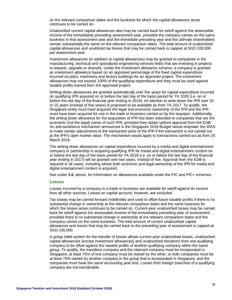on the relevant comparison dates and the business for which the capital allowances arose continues to be carried on.

Unabsorbed current capital allowances also may be carried back for setoff against the assessable income of the immediately preceding assessment year, provided the company carries on the same business in that assessment year and the immediate preceding year and the ultimate shareholders remain substantially the same on the relevant comparison dates. The total amount of unabsorbed capital allowances and unutilized tax losses that may be carried back is capped at SGD 100,000 per assessment year.

Investment allowances (in addition to capital allowances) may be granted to companies in the manufacturing, technical and specialized engineering services fields that are investing in projects to expand, upgrade or diversify. Under the investment allowance scheme, a company is granted an investment allowance based on an approved percentage of the fixed capital expenditure incurred on plant, machinery and factory buildings for an approved project. The investment allowances may not exceed 100% of the qualifying expenditure and they must be used against taxable profits earned from the approved project.

Writing-down allowances are granted automatically over five years for capital expenditure incurred on qualifying IPR acquired on or before the last day of the basis period for YA 2020 (i.e. on or before the last day of the financial year ending in 2019). An election to write-down the IPR over 10 or 15 years (instead of five years) is proposed to be available as from YA 2017. To qualify, the Singapore entity must have acquired the legal and economic ownership of the IPR and the IPR must have been acquired for use in the trade or business carried on by the taxpayer. Additionally, the writing-down allowance for the acquisition of IPR has been extended to companies that are the economic (not the legal) owner of such IPR, provided they obtain upfront approval from the EDB. An anti-avoidance mechanism announced in the Singapore 2016 Budget would empower the IRAS to make certain adjustments to the transaction price of the IPR if the transaction is not carried out at the IPR's open market value. The mechanism would apply to transactions carried out as from 25 March 2016.

The writing-down allowances on capital expenditure incurred by a media and digital entertainment company or partnership in acquiring qualifying IPR for media and digital entertainment content on or before the last day of the basis period for YA 2018 (i.e. on or before the last day of the financial year ending in 2017) will be granted over two years, instead of five. Approval from the EDB is required in all cases, including where both economic and legal ownership of the IPR for media and digital entertainment content is acquired.

See under **[1.5](#page-3-0)**, above, for information on allowances available under the PIC and PIC+ schemes.

#### **Losses**

Losses incurred by a company in a trade or business are available for setoff against its income from all other sources. Losses on capital account, however, are excluded.

Tax losses may be carried forward indefinitely and used to offset future taxable profits if there is no substantial change in ownership at the relevant comparison dates and the same business for which the losses arose continues to be carried on. Current-year unabsorbed losses may be carried back for setoff against the assessable income of the immediately preceding year of assessment, provided there is no substantial change in ownership at the relevant comparison dates and the company carries on the same business. The total amount of current unabsorbed capital allowances and losses that may be carried back to the preceding year of assessment is capped at SGD 100,000.

A group relief system for the transfer of losses allows current-year unabsorbed losses, unabsorbed capital allowances (except investment allowances) and unabsorbed donations from one qualifying company to be offset against the taxable profits of another qualifying company within the same group. To qualify, the transferor company and the claimant company must be incorporated in Singapore; at least 75% of one company must be owned by the other, or both companies must be at least 75% owned by another company in the group that is incorporated in Singapore; and the companies must have the same accounting year end. Losses from foreign branches of a qualifying company are not transferable.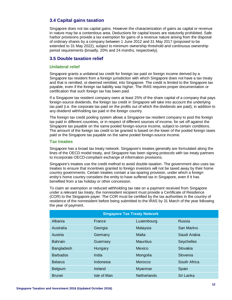#### <span id="page-13-0"></span>**3.4 Capital gains taxation**

Singapore does not tax capital gains. However the characterization of gains as capital or revenue in nature may be a contentious area. Deductions for capital losses are statutorily prohibited. Safe harbor provisions provide a tax exemption for gains of a revenue nature arising from the disposal of ordinary shares by a company between 1 June 2012 and 31 May 2017 (proposed to be extended to 31 May 2022), subject to minimum ownership threshold and continuous ownership period requirements (broadly, 20% and 24 months, respectively).

#### <span id="page-13-1"></span>**3.5 Double taxation relief**

#### **Unilateral relief**

Singapore grants a unilateral tax credit for foreign tax paid on foreign income derived by a Singapore tax resident from a foreign jurisdiction with which Singapore does not have a tax treaty and that is remitted, or deemed remitted, into Singapore. The credit is limited to the Singapore tax payable, even if the foreign tax liability was higher. The IRAS requires proper documentation or certification that such foreign tax has been paid.

If a Singapore tax resident company owns at least 25% of the share capital of a company that pays foreign-source dividends, the foreign tax credit in Singapore will take into account the underlying tax paid (i.e. the corporate tax paid on the profits out of which the dividends are paid), in addition to any dividend withholding tax paid in the foreign country.

The foreign tax credit pooling system allows a Singapore tax resident company to pool the foreign tax paid in different countries, or in respect of different sources of income, for set off against the Singapore tax payable on the same pooled foreign-source income, subject to certain conditions. The amount of the foreign tax credit to be granted is based on the lower of the pooled foreign taxes paid or the Singapore tax payable on the same pooled foreign-source income.

#### **Tax treaties**

Singapore has a broad tax treaty network. Singapore's treaties generally are formulated along the lines of the OECD model treaty, and Singapore has been signing protocols with tax treaty partners to incorporate OECD-compliant exchange of information provisions.

Singapore's treaties use the credit method to avoid double taxation. The government also uses tax treaties to ensure that incentives granted to foreign investors will not be taxed away by their home country governments. Certain treaties contain a tax-sparing provision, under which a foreign entity's home country considers the entity to have suffered tax in Singapore, even if it has benefited from a tax holiday or other concession.

To claim an exemption or reduced withholding tax rate on a payment received from Singapore under a relevant tax treaty, the nonresident recipient must provide a Certificate of Residence (COR) to the Singapore payer. The COR must be certified by the tax authorities in the country of residence of the nonresident before being submitted to the IRAS by 31 March of the year following the year of payment.

| <b>Singapore Tax Treaty Network</b> |             |                    |               |
|-------------------------------------|-------------|--------------------|---------------|
| Albania                             | France      | Luxembourg         | <b>Russia</b> |
| Australia                           | Georgia     | Malaysia           | San Marino    |
| Austria                             | Germany     | Malta              | Saudi Arabia  |
| <b>Bahrain</b>                      | Guernsey    | <b>Mauritius</b>   | Seychelles    |
| Bangladesh                          | Hungary     | Mexico             | Slovakia      |
| <b>Barbados</b>                     | India       | Mongolia           | Slovenia      |
| <b>Belarus</b>                      | Indonesia   | Morocco            | South Africa  |
| Belgium                             | Ireland     | Myanmar            | Spain         |
| <b>Brunei</b>                       | Isle of Man | <b>Netherlands</b> | Sri Lanka     |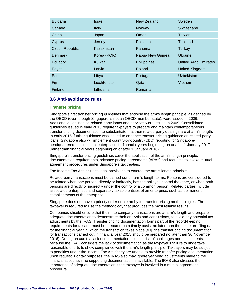| <b>Bulgaria</b>       | <b>Israel</b> | New Zealand      | Sweden                      |
|-----------------------|---------------|------------------|-----------------------------|
| Canada                | Italy         | Norway           | Switzerland                 |
| China                 | Japan         | Oman             | Taiwan                      |
| Cyprus                | Jersey        | Pakistan         | Thailand                    |
| <b>Czech Republic</b> | Kazakhstan    | Panama           | Turkey                      |
| <b>Denmark</b>        | Korea (ROK)   | Papua New Guinea | Ukraine                     |
| Ecuador               | Kuwait        | Philippines      | <b>United Arab Emirates</b> |
| Egypt                 | Latvia        | Poland           | <b>United Kingdom</b>       |
| Estonia               | Libya         | Portugal         | Uzbekistan                  |
| Fiji                  | Liechtenstein | Qatar            | Vietnam                     |
| Finland               | Lithuania     | Romania          |                             |

#### <span id="page-14-0"></span>**3.6 Anti-avoidance rules**

#### **Transfer pricing**

Singapore's first transfer pricing guidelines that endorse the arm's length principle, as defined by the OECD (even though Singapore is not an OECD member state), were issued in 2006. Additional guidelines on related-party loans and services were issued in 2009. Consolidated guidelines issued in early 2015 require taxpayers to prepare and maintain contemporaneous transfer pricing documentation to substantiate that their related-party dealings are at arm's length. In early 2016, further guidance was issued to enhance transfer pricing guidance on related-party loans. Singapore also will implement country-by-country (CbC) reporting for Singaporeheadquartered multinational enterprises for financial years beginning on or after 1 January 2017 (rather than financial years beginning on or after 1 January 2016).

Singapore's transfer pricing guidelines cover the application of the arm's length principle, documentation requirements, advance pricing agreements (APAs) and requests to invoke mutual agreement procedures under Singapore's tax treaties.

The Income Tax Act includes legal provisions to enforce the arm's length principle.

Related-party transactions must be carried out on arm's length terms. Persons are considered to be related when one person, directly or indirectly, has the ability to control the other, or when both persons are directly or indirectly under the control of a common person. Related parties include associated enterprises and separately taxable entities of an enterprise, such as permanent establishments of the enterprise.

Singapore does not have a priority order or hierarchy for transfer pricing methodologies. The taxpayer is required to use the methodology that produces the most reliable results.

Companies should ensure that their intercompany transactions are at arm's length and prepare adequate documentation to demonstrate their analysis and conclusions, to avoid any potential tax adjustments by the IRAS. Transfer pricing documentation forms part of the record-keeping requirements for tax and must be prepared on a timely basis, no later than the tax return filing date for the financial year in which the transaction takes place (e.g. the transfer pricing documentation for transactions carried out in financial year 2015 should be prepared no later than 30 November 2016). During an audit, a lack of documentation poses a risk of challenges and adjustments, because the IRAS considers the lack of documentation as the taxpayer's failure to undertake reasonable efforts to show compliance with the arm's length principle. Taxpayers may be subject to penalties under the Income Tax Act if they are unable to provide transfer pricing documentation upon request. For tax purposes, the IRAS also may ignore year-end adjustments made to the financial accounts if no supporting documentation is available. The IRAS also stresses the importance of adequate documentation if the taxpayer is involved in a mutual agreement procedure.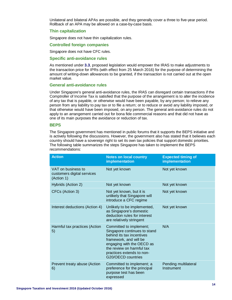Unilateral and bilateral APAs are possible, and they generally cover a three to five-year period. Rollback of an APA may be allowed on a case-by-case basis.

#### **Thin capitalization**

Singapore does not have thin capitalization rules.

#### **Controlled foreign companies**

Singapore does not have CFC rules.

#### **Specific anti-avoidance rules**

As mentioned under **[3.3](#page-10-1)**, proposed legislation would empower the IRAS to make adjustments to the transaction price for IPRs (with effect from 25 March 2016) for the purpose of determining the amount of writing-down allowances to be granted, if the transaction is not carried out at the open market value.

#### **General anti-avoidance rules**

Under Singapore's general anti-avoidance rules, the IRAS can disregard certain transactions if the Comptroller of Income Tax is satisfied that the purpose of the arrangement is to alter the incidence of any tax that is payable, or otherwise would have been payable, by any person; to relieve any person from any liability to pay tax or to file a return; or to reduce or avoid any liability imposed, or that otherwise would have been imposed, on any person. The general anti-avoidance rules do not apply to an arrangement carried out for bona fide commercial reasons and that did not have as one of its main purposes the avoidance or reduction of tax.

#### **BEPS**

The Singapore government has mentioned in public forums that it supports the BEPS initiative and is actively following the discussions. However, the government also has stated that it believes each country should have a sovereign right to set its own tax policies that support domestic priorities. The following table summarizes the steps Singapore has taken to implement the BEPS recommendations:

| <b>Action</b>                                                  | <b>Notes on local country</b><br>implementation                                                                                                                                                                             | <b>Expected timing of</b><br>implementation |
|----------------------------------------------------------------|-----------------------------------------------------------------------------------------------------------------------------------------------------------------------------------------------------------------------------|---------------------------------------------|
| VAT on business to<br>customers digital services<br>(Action 1) | Not yet known                                                                                                                                                                                                               | Not yet known                               |
| Hybrids (Action 2)                                             | Not yet known                                                                                                                                                                                                               | Not yet known                               |
| CFCs (Action 3)                                                | Not yet known, but it is<br>unlikely that Singapore will<br>introduce a CFC regime                                                                                                                                          | Not yet known                               |
| Interest deductions (Action 4)                                 | Unlikely to be implemented,<br>as Singapore's domestic<br>deduction rules for interest<br>are relatively stringent                                                                                                          | Not yet known                               |
| Harmful tax practices (Action<br>5)                            | Committed to implement;<br>Singapore continues to stand<br>behind its tax incentives<br>framework, and will be<br>engaging with the OECD as<br>the review on harmful tax<br>practices extends to non-<br>G20/OECD countries | N/A                                         |
| Prevent treaty abuse (Action<br>6)                             | Committed to implement; a<br>preference for the principal<br>purpose test has been<br>expressed                                                                                                                             | Pending multilateral<br>Instrument          |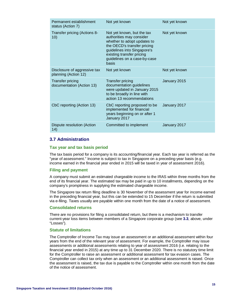| Permanent establishment<br>status (Action 7)         | Not yet known                                                                                                                                                                                                             | Not yet known |
|------------------------------------------------------|---------------------------------------------------------------------------------------------------------------------------------------------------------------------------------------------------------------------------|---------------|
| Transfer pricing (Actions 8-<br>10)                  | Not yet known, but the tax<br>authorities may consider<br>whether to adopt updates to<br>the OECD's transfer pricing<br>guidelines into Singapore's<br>existing transfer pricing<br>guidelines on a case-by-case<br>basis | Not yet known |
| Disclosure of aggressive tax<br>planning (Action 12) | Not yet known                                                                                                                                                                                                             | Not yet known |
| <b>Transfer pricing</b><br>documentation (Action 13) | <b>Transfer pricing</b><br>documentation guidelines<br>were updated in January 2015<br>to be broadly in line with<br>action 13 recommendations                                                                            | January 2015  |
| CbC reporting (Action 13)                            | CbC reporting proposed to be<br>implemented for financial<br>years beginning on or after 1<br>January 2017                                                                                                                | January 2017  |
| Dispute resolution (Action<br>(14)                   | Committed to implement                                                                                                                                                                                                    | January 2017  |

#### <span id="page-16-0"></span>**3.7 Administration**

#### **Tax year and tax basis period**

The tax basis period for a company is its accounting/financial year. Each tax year is referred as the "year of assessment." Income is subject to tax in Singapore on a preceding-year basis (e.g. income earned in the financial year ended in 2015 will be taxed in year of assessment 2016).

#### **Filing and payment**

A company must submit an estimated chargeable income to the IRAS within three months from the end of its financial year. The estimated tax may be paid in up to 10 installments, depending on the company's promptness in supplying the estimated chargeable income.

The Singapore tax return filing deadline is 30 November of the assessment year for income earned in the preceding financial year, but this can be extended to 15 December if the return is submitted via e-filing. Taxes usually are payable within one month from the date of a notice of assessment.

#### **Consolidated returns**

There are no provisions for filing a consolidated return, but there is a mechanism to transfer current-year loss items between members of a Singapore corporate group (see **[3.3](#page-10-1)**, above, under "Losses").

#### **Statute of limitations**

The Comptroller of Income Tax may issue an assessment or an additional assessment within four years from the end of the relevant year of assessment. For example, the Comptroller may issue assessments or additional assessments relating to year of assessment 2016 (i.e. relating to the financial year ended in 2015) at any time up to 31 December 2020. There is no statutory time limit for the Comptroller to raise an assessment or additional assessment for tax evasion cases. The Comptroller can collect tax only when an assessment or an additional assessment is raised. Once the assessment is raised, the tax due is payable to the Comptroller within one month from the date of the notice of assessment.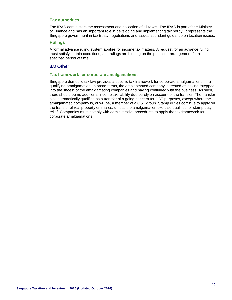#### **Tax authorities**

The IRAS administers the assessment and collection of all taxes. The IRAS is part of the Ministry of Finance and has an important role in developing and implementing tax policy. It represents the Singapore government in tax treaty negotiations and issues abundant guidance on taxation issues.

#### **Rulings**

A formal advance ruling system applies for income tax matters. A request for an advance ruling must satisfy certain conditions, and rulings are binding on the particular arrangement for a specified period of time.

#### <span id="page-17-0"></span>**3.8 Other**

#### **Tax framework for corporate amalgamations**

Singapore domestic tax law provides a specific tax framework for corporate amalgamations. In a qualifying amalgamation, in broad terms, the amalgamated company is treated as having "stepped into the shoes" of the amalgamating companies and having continued with the business. As such, there should be no additional income tax liability due purely on account of the transfer. The transfer also automatically qualifies as a transfer of a going concern for GST purposes, except where the amalgamated company is, or will be, a member of a GST group. Stamp duties continue to apply on the transfer of real property or shares, unless the amalgamation exercise qualifies for stamp duty relief. Companies must comply with administrative procedures to apply the tax framework for corporate amalgamations.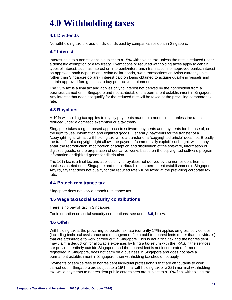# <span id="page-18-0"></span>**4.0 Withholding taxes**

#### <span id="page-18-1"></span>**4.1 Dividends**

No withholding tax is levied on dividends paid by companies resident in Singapore.

#### <span id="page-18-2"></span>**4.2 Interest**

Interest paid to a nonresident is subject to a 15% withholding tax, unless the rate is reduced under a domestic exemption or a tax treaty. Exemptions or reduced withholding taxes apply to certain types of interest, such as interest on interbank/interbranch transactions of approved banks, interest on approved bank deposits and Asian dollar bonds, swap transactions on Asian currency units (other than Singapore dollars), interest paid on loans obtained to acquire qualifying vessels and certain approved foreign loans to buy productive equipment.

The 15% tax is a final tax and applies only to interest not derived by the nonresident from a business carried on in Singapore and not attributable to a permanent establishment in Singapore. Any interest that does not qualify for the reduced rate will be taxed at the prevailing corporate tax rate.

#### <span id="page-18-3"></span>**4.3 Royalties**

A 10% withholding tax applies to royalty payments made to a nonresident, unless the rate is reduced under a domestic exemption or a tax treaty.

Singapore takes a rights-based approach to software payments and payments for the use of, or the right to use, information and digitized goods. Generally, payments for the transfer of a "copyright right" attract withholding tax, while a transfer of a "copyrighted article" does not. Broadly, the transfer of a copyright right allows the payer to "commercially exploit" such right, which may entail the reproduction, modification or adaption and distribution of the software, information or digitized goods; or the preparation of derivative works based on the copyrighted software program, information or digitized goods for distribution.

The 10% tax is a final tax and applies only to royalties not derived by the nonresident from a business carried on in Singapore and not attributable to a permanent establishment in Singapore. Any royalty that does not qualify for the reduced rate will be taxed at the prevailing corporate tax rate.

#### <span id="page-18-4"></span>**4.4 Branch remittance tax**

Singapore does not levy a branch remittance tax.

#### <span id="page-18-5"></span>**4.5 Wage tax/social security contributions**

There is no payroll tax in Singapore.

For information on social security contributions, see under **[6.6](#page-24-3)**, below.

#### <span id="page-18-6"></span>**4.6 Other**

Withholding tax at the prevailing corporate tax rate (currently 17%) applies on gross service fees (including technical assistance and management fees) paid to nonresidents (other than individuals) that are attributable to work carried out in Singapore. This is not a final tax and the nonresident may claim a deduction for allowable expenses by filing a tax return with the IRAS. If the services are provided entirely outside Singapore and the nonresident is not incorporated, formed or registered in Singapore, does not carry on a business in Singapore and does not have a permanent establishment in Singapore, then withholding tax should not apply.

Payments of service fees to nonresident individual professionals that are attributable to work carried out in Singapore are subject to a 15% final withholding tax or a 22% nonfinal withholding tax, while payments to nonresident public entertainers are subject to a 10% final withholding tax.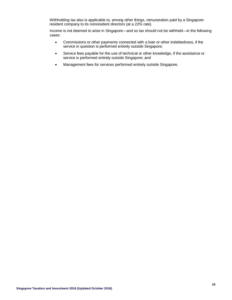Withholding tax also is applicable to, among other things, remuneration paid by a Singaporeresident company to its nonresident directors (at a 22% rate).

Income is not deemed to arise in Singapore—and so tax should not be withheld—in the following cases:

- Commissions or other payments connected with a loan or other indebtedness, if the service in question is performed entirely outside Singapore;
- Service fees payable for the use of technical or other knowledge, if the assistance or service is performed entirely outside Singapore; and
- Management fees for services performed entirely outside Singapore.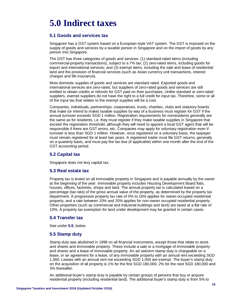# <span id="page-20-0"></span>**5.0 Indirect taxes**

#### <span id="page-20-1"></span>**5.1 Goods and services tax**

Singapore has a GST system based on a European-style VAT system. The GST is imposed on the supply of goods and services by a taxable person in Singapore and on the import of goods by any person into Singapore.

The GST has three categories of goods and services: (1) standard-rated items (including commercial-property transactions), subject to a 7% tax; (2) zero-rated items, including goods for export and international services; and (3) exempt items, including the sale and lease of residential land and the provision of financial services (such as Asian currency unit transactions, interest charges and life insurance).

Most domestic supplies of goods and services are standard rated. Exported goods and international services are zero-rated, but suppliers of zero-rated goods and services are still entitled to obtain credits or refunds for GST paid on their purchases. Unlike standard or zero-rated suppliers, exempt suppliers do not have the right to a full credit for input tax. Therefore, some or all of the input tax that relates to the exempt supplies will be a cost.

Companies, individuals, partnerships, cooperatives, trusts, charities, clubs and statutory boards that make (or intend to make) taxable supplies by way of a business must register for GST if the annual turnover exceeds SGD 1 million. Registration requirements for nonresidents generally are the same as for residents, i.e. they must register if they make taxable supplies in Singapore that exceed the registration threshold, although they will need to appoint a local GST agent that will be responsible if there are GST errors, etc. Companies may apply for voluntary registration even if turnover is less than SGD 1 million. However, once registered on a voluntary basis, the taxpayer must remain registered for at least two years. A registered trader must file GST returns, generally on a quarterly basis, and must pay the tax due (if applicable) within one month after the end of the GST accounting period.

#### <span id="page-20-2"></span>**5.2 Capital tax**

Singapore does not levy capital tax.

#### <span id="page-20-3"></span>**5.3 Real estate tax**

Property tax is levied on all immovable property in Singapore and is payable annually by the owner at the beginning of the year. Immovable property includes Housing Development Board flats, houses, offices, factories, shops and land. The annual property tax is calculated based on a percentage (tax rate) of the gross annual value of the property, as determined by the property tax department. A progressive property tax rate of 0% to 16% applies for owner-occupied residential property, and a rate between 10% and 20% applies for non-owner occupied residential property. Other properties (such as commercial and industrial buildings and land) are taxed at a flat rate of 10%. A property tax exemption for land under development may be granted in certain cases.

#### <span id="page-20-4"></span>**5.4 Transfer tax**

See under **[5.5](#page-20-5)**, below.

#### <span id="page-20-5"></span>**5.5 Stamp duty**

Stamp duty was abolished in 1998 on all financial instruments, except those that relate to stock and shares and immovable property. These include a sale or a mortgage of immovable property and shares and a lease of immovable property. An *ad valorem* stamp duty is chargeable on a lease, or an agreement for a lease, of any immovable property with an annual rent exceeding SGD 1,000. Leases with an annual rent not exceeding SGD 1,000 are exempt. The buyer's stamp duty on the acquisition of all property is 1% for the first SGD 180,000, 2% for the next SGD 180,000 and 3% thereafter.

An additional buyer's stamp duty is payable by certain groups of persons that buy or acquire residential property (including residential land). The additional buyer's stamp duty is from 5% to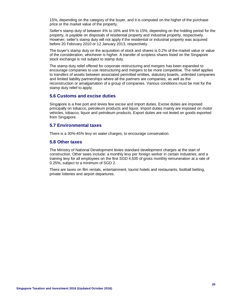15%, depending on the category of the buyer, and it is computed on the higher of the purchase price or the market value of the property.

Seller's stamp duty of between 4% to 16% and 5% to 15%, depending on the holding period for the property, is payable on disposals of residential property and industrial property, respectively. However, seller's stamp duty will not apply if the residential or industrial property was acquired before 20 February 2010 or 12 January 2013, respectively.

The buyer's stamp duty on the acquisition of stock and shares is 0.2% of the market value or value of the consideration, whichever is higher. A transfer of scripless shares listed on the Singapore stock exchange is not subject to stamp duty.

The stamp duty relief offered for corporate restructuring and mergers has been expanded to encourage companies to use restructuring and mergers to be more competitive. The relief applies to transfers of assets between associated permitted entities, statutory boards, unlimited companies and limited liability partnerships where all the partners are companies, as well as the reconstruction or amalgamation of a group of companies. Various conditions must be met for the stamp duty relief to apply.

#### <span id="page-21-0"></span>**5.6 Customs and excise duties**

Singapore is a free port and levies few excise and import duties. Excise duties are imposed principally on tobacco, petroleum products and liquor. Import duties mainly are imposed on motor vehicles, tobacco, liquor and petroleum products. Export duties are not levied on goods exported from Singapore.

#### <span id="page-21-1"></span>**5.7 Environmental taxes**

There is a 30%-45% levy on water charges, to encourage conservation.

#### <span id="page-21-2"></span>**5.8 Other taxes**

The Ministry of National Development levies standard development charges at the start of construction. Other taxes include: a monthly levy per foreign worker in certain industries; and a training levy for all employees on the first SGD 4,500 of gross monthly remuneration at a rate of 0.25%, subject to a minimum of SGD 2.

There are taxes on film rentals, entertainment, tourist hotels and restaurants, football betting, private lotteries and airport departures.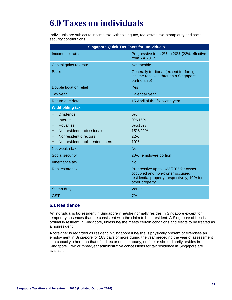# <span id="page-22-0"></span>**6.0 Taxes on individuals**

Individuals are subject to income tax, withholding tax, real estate tax, stamp duty and social security contributions.

| <b>Singapore Quick Tax Facts for Individuals</b>                                                                                          |                                                                                                                                          |  |
|-------------------------------------------------------------------------------------------------------------------------------------------|------------------------------------------------------------------------------------------------------------------------------------------|--|
| Income tax rates                                                                                                                          | Progressive from 2% to 20% (22% effective<br>from YA 2017)                                                                               |  |
| Capital gains tax rate                                                                                                                    | Not taxable                                                                                                                              |  |
| <b>Basis</b>                                                                                                                              | Generally territorial (except for foreign<br>income received through a Singapore<br>partnership)                                         |  |
| Double taxation relief                                                                                                                    | Yes                                                                                                                                      |  |
| Tax year                                                                                                                                  | Calendar year                                                                                                                            |  |
| Return due date                                                                                                                           | 15 April of the following year                                                                                                           |  |
| <b>Withholding tax</b>                                                                                                                    |                                                                                                                                          |  |
| <b>Dividends</b><br>Interest<br><b>Royalties</b><br>Nonresident professionals<br>Nonresident directors<br>Nonresident public entertainers | 0%<br>$0\%/15\%$<br>$0\%/10\%$<br>15%/22%<br>22%<br>10%                                                                                  |  |
| Net wealth tax                                                                                                                            | <b>No</b>                                                                                                                                |  |
| Social security                                                                                                                           | 20% (employee portion)                                                                                                                   |  |
| Inheritance tax                                                                                                                           | <b>No</b>                                                                                                                                |  |
| Real estate tax                                                                                                                           | Progressive up to 16%/20% for owner-<br>occupied and non-owner occupied<br>residential property, respectively; 10% for<br>other property |  |
| Stamp duty                                                                                                                                | Varies                                                                                                                                   |  |
| <b>GST</b>                                                                                                                                | 7%                                                                                                                                       |  |

#### <span id="page-22-1"></span>**6.1 Residence**

An individual is tax resident in Singapore if he/she normally resides in Singapore except for temporary absences that are consistent with the claim to be a resident. A Singapore citizen is ordinarily resident in Singapore, unless he/she meets certain conditions and elects to be treated as a nonresident.

A foreigner is regarded as resident in Singapore if he/she is physically present or exercises an employment in Singapore for 183 days or more during the year preceding the year of assessment in a capacity other than that of a director of a company, or if he or she ordinarily resides in Singapore. Two or three-year administrative concessions for tax residence in Singapore are available.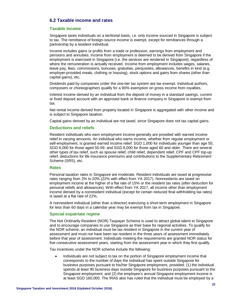#### <span id="page-23-0"></span>**6.2 Taxable income and rates**

#### **Taxable income**

Singapore taxes individuals on a territorial basis, i.e. only income sourced in Singapore is subject to tax. The remittance of foreign-source income is exempt, except for remittances through a partnership by a resident individual.

Income includes gains or profits from a trade or profession, earnings from employment and pensions and annuities. Income from employment is deemed to be derived from Singapore if the employment is exercised in Singapore (i.e. the services are rendered in Singapore), regardless of where the remuneration is actually received. Income from employment includes wages, salaries, leave pay, fees, commissions, bonuses, gratuities, perquisites, allowances, benefits in kind (e.g. employer-provided meals, clothing or housing), stock options and gains from shares (other than capital gains), etc.

Dividends paid by companies under the one-tier tax system are tax exempt. Individual authors, composers or choreographers qualify for a 90% exemption on gross income from royalties.

Interest income derived by an individual from the deposit of money in a standard savings, current or fixed deposit account with an approved bank or finance company in Singapore is exempt from tax.

Net rental income derived from property located in Singapore is aggregated with other income and is subject to Singapore taxation.

Capital gains derived by an individual are not taxed, since Singapore does not tax capital gains.

#### **Deductions and reliefs**

Resident individuals who earn employment income generally are provided with earned income relief in varying amounts. An individual who earns income, whether from regular employment or self-employment, is granted earned income relief: SGD 1,000 for individuals younger than age 55; SGD 6,000 for those aged 55-59; and SGD 8,000 for those aged 60 and older. There are several other types of tax relief, such as spouse relief, child relief, dependent relief, CPF and CPF top-up relief, deductions for life insurance premiums and contributions to the Supplementary Retirement Scheme (SRS), etc.

#### **Rates**

Personal taxation rates in Singapore are moderate. Resident individuals are taxed at progressive rates ranging from 2% to 20% (22% with effect from YA 2017). Nonresidents are taxed on employment income at the higher of a flat rate of 15% or the resident tax rates (after deduction for personal reliefs and allowances). With effect from YA 2017, all income other than employment income derived by a nonresident individual (except for certain reduced final withholding tax rates) is taxed at a flat rate of 22%.

A nonresident individual (other than a director) exercising a short-term employment in Singapore for less than 60 days in a calendar year may be exempt from tax in Singapore.

#### **Special expatriate regime**

The Not Ordinarily Resident (NOR) Taxpayer Scheme is used to attract global talent to Singapore and to encourage companies to use Singapore as their base for regional activities. To qualify for the NOR scheme, an individual must be tax resident in Singapore in the current year of assessment and must not have been tax resident in the three years of assessment immediately before that year of assessment. Individuals meeting the requirements are granted NOR status for five consecutive assessment years, starting from the assessment year in which they first qualify.

Tax incentives under the NOR scheme include the following:

• Individuals are not subject to tax on the portion of Singapore employment income that corresponds to the number of days the individual has spent outside Singapore for business purposes pursuant to his/her Singapore employment, provided: (1) the individual spends at least 90 business days outside Singapore for business purposes pursuant to the Singapore employment; and (2) the employee's annual Singapore employment income is at least SGD 160,000. The IRAS also has ruled that the individual must be employed by a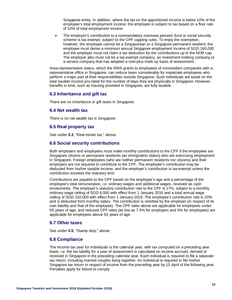Singapore entity. In addition, where the tax on the apportioned income is below 10% of the employee's total employment income, the employee is subject to tax based on a floor rate of 10% of total employment income.

The employer's contribution to a nonmandatory overseas pension fund or social security scheme is tax exempt, subject to the CPF capping rules. To enjoy the exemption, however, the employee cannot be a Singaporean or a Singapore permanent resident, the employee must derive a minimum annual Singapore employment income of SGD 160,000 and the employer must not claim a tax deduction for the contributions up to the NOR cap. The employer also must not be a tax-exempt company, an investment holding company or a service company that has adopted a cost-plus mark-up basis of assessment.

Area-representative status, which the IRAS grants to employees of nonresident companies with a representative office in Singapore, can reduce taxes considerably for expatriate employees who perform a major part of their responsibilities outside Singapore. Such individuals are taxed on the total taxable income pro-rated for the number of days they are physically in Singapore. However, benefits in kind, such as housing provided in Singapore, are fully taxable.

#### <span id="page-24-0"></span>**6.3 Inheritance and gift tax**

There are no inheritance or gift taxes in Singapore.

#### <span id="page-24-1"></span>**6.4 Net wealth tax**

There is no net wealth tax in Singapore.

#### <span id="page-24-2"></span>**6.5 Real property tax**

See under **[5.3](#page-20-3)**, "Real estate tax," above.

#### <span id="page-24-3"></span>**6.6 Social security contributions**

Both employers and employees must make monthly contributions to the CPF if the employees are Singapore citizens or permanent residents (an immigration status) who are exercising employment in Singapore. Foreign employees (who are neither permanent residents nor citizens) and their employers are not required to contribute to the CPF. The employee's contribution may be deducted from his/her taxable income, and the employer's contribution is tax-exempt unless the contribution exceeds the statutory limit.

Contributions are payable to the CPF based on the employee's age and a percentage of the employee's total remuneration, i.e. ordinary wages and additional wages, received as cash emoluments. The employer's statutory contribution rate to the CPF is 17%, subject to a monthly ordinary wage ceiling of SGD 6,000 with effect from 1 January 2016 and a total annual wage ceiling of SGD 102,000 with effect from 1 January 2016. The employee's contribution rate is 20% and is deducted from monthly salary. The contribution is remitted by the employer (in respect of its own liability and that of the employee). The CPF rates above are applicable for employees under 55 years of age, and reduced CPF rates (as low as 7.5% for employers and 5% for employees) are applicable for employees above 55 years of age.

#### <span id="page-24-4"></span>**6.7 Other taxes**

See under **[5.5](#page-20-5)**, "Stamp duty," above.

#### <span id="page-24-5"></span>**6.8 Compliance**

The income tax year for individuals is the calendar year, with tax computed on a preceding year basis, i.e. the tax liability for a year of assessment is calculated on income accrued, derived or received in Singapore in the preceding calendar year. Each individual is required to file a separate tax return, including married couples living together. An individual is required to file his/her Singapore tax return in respect of income from the preceding year by 15 April of the following year. Penalties apply for failure to comply.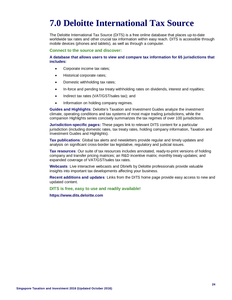# <span id="page-25-0"></span>**7.0 Deloitte International Tax Source**

The Deloitte International Tax Source (DITS) is a free online database that places up-to-date worldwide tax rates and other crucial tax information within easy reach. DITS is accessible through mobile devices (phones and tablets), as well as through a computer.

**Connect to the source and discover:**

**A database that allows users to view and compare tax information for 65 jurisdictions that includes:** 

- Corporate income tax rates;
- Historical corporate rates;
- Domestic withholding tax rates;
- In-force and pending tax treaty withholding rates on dividends, interest and royalties;
- Indirect tax rates (VAT/GST/sales tax); and
- Information on holding company regimes.

**Guides and Highlights**: Deloitte's Taxation and Investment Guides analyze the investment climate, operating conditions and tax systems of most major trading jurisdictions, while the companion Highlights series concisely summarizes the tax regimes of over 100 jurisdictions.

**Jurisdiction-specific pages:** These pages link to relevant DITS content for a particular jurisdiction (including domestic rates, tax treaty rates, holding company information, Taxation and Investment Guides and Highlights).

**Tax publications**: Global tax alerts and newsletters provide regular and timely updates and analysis on significant cross-border tax legislative, regulatory and judicial issues.

**Tax resources**: Our suite of tax resources includes annotated, ready-to-print versions of holding company and transfer pricing matrices; an R&D incentive matrix; monthly treaty updates; and expanded coverage of VAT/GST/sales tax rates.

**Webcasts**: Live interactive webcasts and Dbriefs by Deloitte professionals provide valuable insights into important tax developments affecting your business.

**Recent additions and updates**: Links from the DITS home page provide easy access to new and updated content.

**DITS is free, easy to use and readily available!**

**[https://www.dits.deloitte.com](https://www.dits.deloitte.com/)**